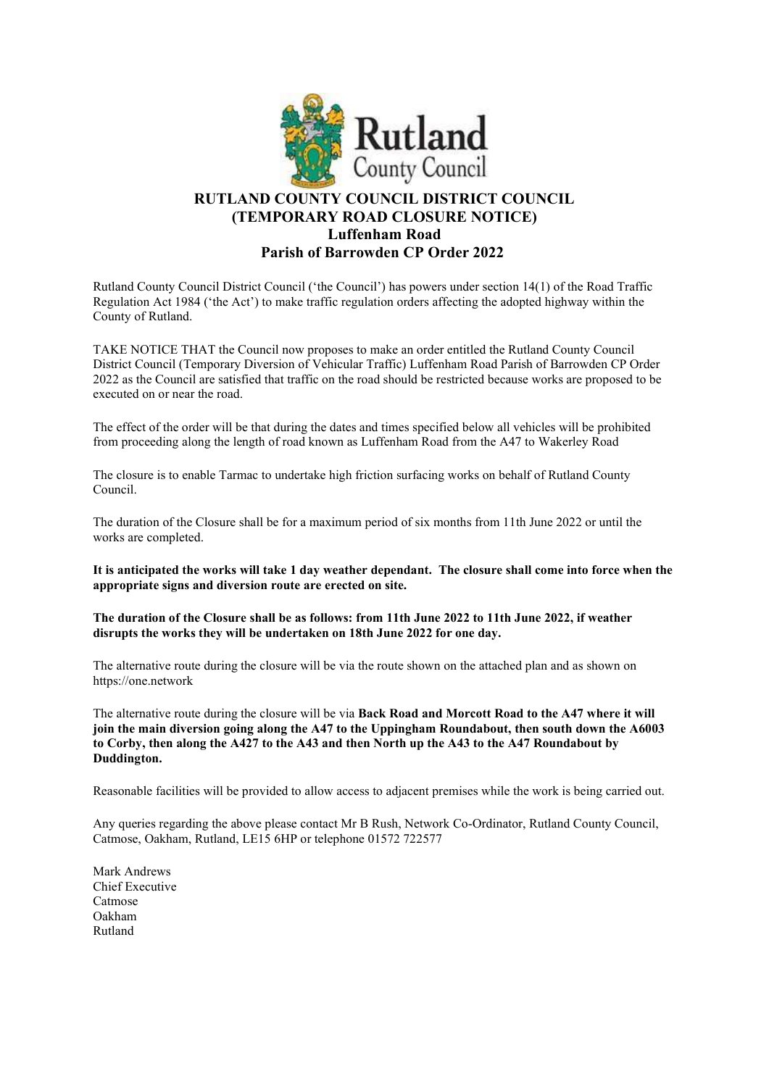

## RUTLAND COUNTY COUNCIL DISTRICT COUNCIL (TEMPORARY ROAD CLOSURE NOTICE) Luffenham Road Parish of Barrowden CP Order 2022

Rutland County Council District Council ('the Council') has powers under section 14(1) of the Road Traffic Regulation Act 1984 ('the Act') to make traffic regulation orders affecting the adopted highway within the County of Rutland.

TAKE NOTICE THAT the Council now proposes to make an order entitled the Rutland County Council District Council (Temporary Diversion of Vehicular Traffic) Luffenham Road Parish of Barrowden CP Order 2022 as the Council are satisfied that traffic on the road should be restricted because works are proposed to be executed on or near the road.

The effect of the order will be that during the dates and times specified below all vehicles will be prohibited from proceeding along the length of road known as Luffenham Road from the A47 to Wakerley Road

The closure is to enable Tarmac to undertake high friction surfacing works on behalf of Rutland County Council.

The duration of the Closure shall be for a maximum period of six months from 11th June 2022 or until the works are completed.

It is anticipated the works will take 1 day weather dependant. The closure shall come into force when the appropriate signs and diversion route are erected on site.

The duration of the Closure shall be as follows: from 11th June 2022 to 11th June 2022, if weather disrupts the works they will be undertaken on 18th June 2022 for one day.

The alternative route during the closure will be via the route shown on the attached plan and as shown on https://one.network

The alternative route during the closure will be via Back Road and Morcott Road to the A47 where it will join the main diversion going along the A47 to the Uppingham Roundabout, then south down the A6003 to Corby, then along the A427 to the A43 and then North up the A43 to the A47 Roundabout by Duddington.

Reasonable facilities will be provided to allow access to adjacent premises while the work is being carried out.

Any queries regarding the above please contact Mr B Rush, Network Co-Ordinator, Rutland County Council, Catmose, Oakham, Rutland, LE15 6HP or telephone 01572 722577

Mark Andrews Chief Executive Catmose Oakham Rutland